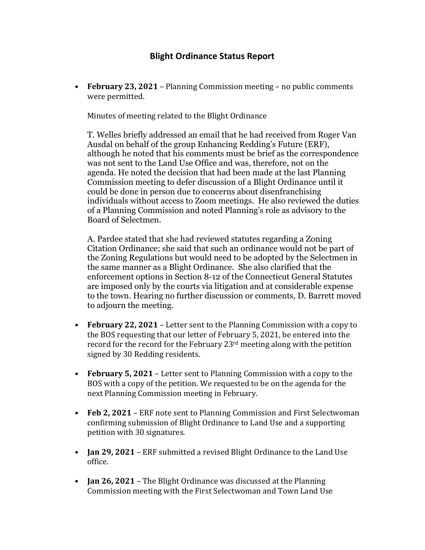## **Blight Ordinance Status Report**

• **February 23, 2021** – Planning Commission meeting – no public comments were permitted.

Minutes of meeting related to the Blight Ordinance

T. Welles briefly addressed an email that he had received from Roger Van Ausdal on behalf of the group Enhancing Redding's Future (ERF), although he noted that his comments must be brief as the correspondence was not sent to the Land Use Office and was, therefore, not on the agenda. He noted the decision that had been made at the last Planning Commission meeting to defer discussion of a Blight Ordinance until it could be done in person due to concerns about disenfranchising individuals without access to Zoom meetings. He also reviewed the duties of a Planning Commission and noted Planning's role as advisory to the Board of Selectmen.

A. Pardee stated that she had reviewed statutes regarding a Zoning Citation Ordinance; she said that such an ordinance would not be part of the Zoning Regulations but would need to be adopted by the Selectmen in the same manner as a Blight Ordinance. She also clarified that the enforcement options in Section 8-12 of the Connecticut General Statutes are imposed only by the courts via litigation and at considerable expense to the town. Hearing no further discussion or comments, D. Barrett moved to adjourn the meeting.

- **February 22, 2021** Letter sent to the Planning Commission with a copy to the BOS requesting that our letter of February 5, 2021, be entered into the record for the record for the February  $23<sup>rd</sup>$  meeting along with the petition signed by 30 Redding residents.
- **February 5, 2021** Letter sent to Planning Commission with a copy to the BOS with a copy of the petition. We requested to be on the agenda for the next Planning Commission meeting in February.
- **Feb 2, 2021** ERF note sent to Planning Commission and First Selectwoman confirming submission of Blight Ordinance to Land Use and a supporting petition with 30 signatures.
- **Jan 29, 2021** ERF submitted a revised Blight Ordinance to the Land Use office.
- **Jan 26, 2021** The Blight Ordinance was discussed at the Planning Commission meeting with the First Selectwoman and Town Land Use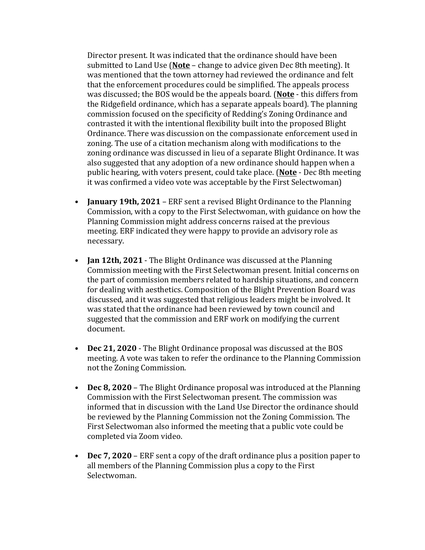Director present. It was indicated that the ordinance should have been submitted to Land Use (**Note** – change to advice given Dec 8th meeting). It was mentioned that the town attorney had reviewed the ordinance and felt that the enforcement procedures could be simplified. The appeals process was discussed; the BOS would be the appeals board. (**Note** - this differs from the Ridgefield ordinance, which has a separate appeals board). The planning commission focused on the specificity of Redding's Zoning Ordinance and contrasted it with the intentional flexibility built into the proposed Blight Ordinance. There was discussion on the compassionate enforcement used in zoning. The use of a citation mechanism along with modifications to the zoning ordinance was discussed in lieu of a separate Blight Ordinance. It was also suggested that any adoption of a new ordinance should happen when a public hearing, with voters present, could take place. (**Note** - Dec 8th meeting it was confirmed a video vote was acceptable by the First Selectwoman)

- **January 19th, 2021** ERF sent a revised Blight Ordinance to the Planning Commission, with a copy to the First Selectwoman, with guidance on how the Planning Commission might address concerns raised at the previous meeting. ERF indicated they were happy to provide an advisory role as necessary.
- **Jan 12th, 2021** The Blight Ordinance was discussed at the Planning Commission meeting with the First Selectwoman present. Initial concerns on the part of commission members related to hardship situations, and concern for dealing with aesthetics. Composition of the Blight Prevention Board was discussed, and it was suggested that religious leaders might be involved. It was stated that the ordinance had been reviewed by town council and suggested that the commission and ERF work on modifying the current document.
- **Dec 21, 2020** The Blight Ordinance proposal was discussed at the BOS meeting. A vote was taken to refer the ordinance to the Planning Commission not the Zoning Commission.
- **Dec 8, 2020** The Blight Ordinance proposal was introduced at the Planning Commission with the First Selectwoman present. The commission was informed that in discussion with the Land Use Director the ordinance should be reviewed by the Planning Commission not the Zoning Commission. The First Selectwoman also informed the meeting that a public vote could be completed via Zoom video.
- **Dec 7, 2020** ERF sent a copy of the draft ordinance plus a position paper to all members of the Planning Commission plus a copy to the First Selectwoman.